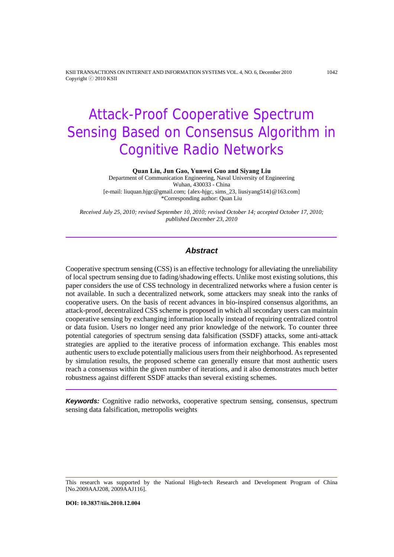KSII TRANSACTIONS ON INTERNET AND INFORMATION SYSTEMS VOL. 4, NO. 6, December 2010 1042 Copyright ⓒ 2010 KSII

# Attack-Proof Cooperative Spectrum Sensing Based on Consensus Algorithm in Cognitive Radio Networks

**Quan Liu, Jun Gao, Yunwei Guo and Siyang Liu** 

Department of Communication Engineering, Naval University of Engineering Wuhan, 430033 - China [e-mail: liuquan.hjgc@gmail.com; {alex-hjgc, sims\_23, liusiyang514}@163.com] \*Corresponding author: Quan Liu

*Received July 25, 2010; revised September 10, 2010; revised October 14; accepted October 17, 2010; published December 23, 2010* 

## *Abstract*

Cooperative spectrum sensing (CSS) is an effective technology for alleviating the unreliability of local spectrum sensing due to fading/shadowing effects. Unlike most existing solutions, this paper considers the use of CSS technology in decentralized networks where a fusion center is not available. In such a decentralized network, some attackers may sneak into the ranks of cooperative users. On the basis of recent advances in bio-inspired consensus algorithms, an attack-proof, decentralized CSS scheme is proposed in which all secondary users can maintain cooperative sensing by exchanging information locally instead of requiring centralized control or data fusion. Users no longer need any prior knowledge of the network. To counter three potential categories of spectrum sensing data falsification (SSDF) attacks, some anti-attack strategies are applied to the iterative process of information exchange. This enables most authentic users to exclude potentially malicious users from their neighborhood. As represented by simulation results, the proposed scheme can generally ensure that most authentic users reach a consensus within the given number of iterations, and it also demonstrates much better robustness against different SSDF attacks than several existing schemes.

*Keywords:* Cognitive radio networks, cooperative spectrum sensing, consensus, spectrum sensing data falsification, metropolis weights

This research was supported by the National High-tech Research and Development Program of China [No.2009AAJ208, 2009AAJ116].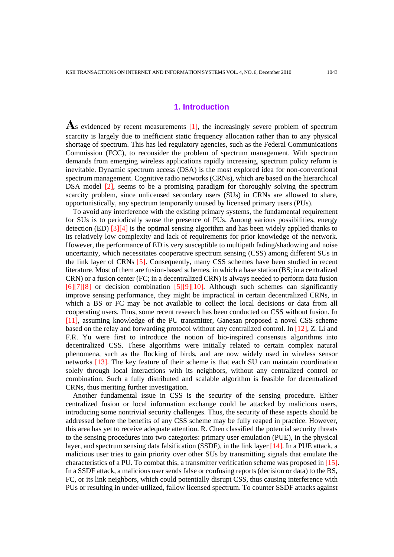## **1. Introduction**

As evidenced by recent measurements [1], the increasingly severe problem of spectrum scarcity is largely due to inefficient static frequency allocation rather than to any physical shortage of spectrum. This has led regulatory agencies, such as the Federal Communications Commission (FCC), to reconsider the problem of spectrum management. With spectrum demands from emerging wireless applications rapidly increasing, spectrum policy reform is inevitable. Dynamic spectrum access (DSA) is the most explored idea for non-conventional spectrum management. Cognitive radio networks (CRNs), which are based on the hierarchical DSA model [2], seems to be a promising paradigm for thoroughly solving the spectrum scarcity problem, since unlicensed secondary users (SUs) in CRNs are allowed to share, opportunistically, any spectrum temporarily unused by licensed primary users (PUs).

To avoid any interference with the existing primary systems, the fundamental requirement for SUs is to periodically sense the presence of PUs. Among various possibilities, energy detection (ED)  $\left[3\right]\left[4\right]$  is the optimal sensing algorithm and has been widely applied thanks to its relatively low complexity and lack of requirements for prior knowledge of the network. However, the performance of ED is very susceptible to multipath fading/shadowing and noise uncertainty, which necessitates cooperative spectrum sensing (CSS) among different SUs in the link layer of CRNs [5]. Consequently, many CSS schemes have been studied in recent literature. Most of them are fusion-based schemes, in which a base station (BS; in a centralized CRN) or a fusion center (FC; in a decentralized CRN) is always needed to perform data fusion [6][7][8] or decision combination [5][9][10]. Although such schemes can significantly improve sensing performance, they might be impractical in certain decentralized CRNs, in which a BS or FC may be not available to collect the local decisions or data from all cooperating users. Thus, some recent research has been conducted on CSS without fusion. In [11], assuming knowledge of the PU transmitter, Ganesan proposed a novel CSS scheme based on the relay and forwarding protocol without any centralized control. In [12], Z. Li and F.R. Yu were first to introduce the notion of bio-inspired consensus algorithms into decentralized CSS. These algorithms were initially related to certain complex natural phenomena, such as the flocking of birds, and are now widely used in wireless sensor networks [13]. The key feature of their scheme is that each SU can maintain coordination solely through local interactions with its neighbors, without any centralized control or combination. Such a fully distributed and scalable algorithm is feasible for decentralized CRNs, thus meriting further investigation.

Another fundamental issue in CSS is the security of the sensing procedure. Either centralized fusion or local information exchange could be attacked by malicious users, introducing some nontrivial security challenges. Thus, the security of these aspects should be addressed before the benefits of any CSS scheme may be fully reaped in practice. However, this area has yet to receive adequate attention. R. Chen classified the potential security threats to the sensing procedures into two categories: primary user emulation (PUE), in the physical layer, and spectrum sensing data falsification (SSDF), in the link layer [14]. In a PUE attack, a malicious user tries to gain priority over other SUs by transmitting signals that emulate the characteristics of a PU. To combat this, a transmitter verification scheme was proposed in [15]. In a SSDF attack, a malicious user sends false or confusing reports (decision or data) to the BS, FC, or its link neighbors, which could potentially disrupt CSS, thus causing interference with PUs or resulting in under-utilized, fallow licensed spectrum. To counter SSDF attacks against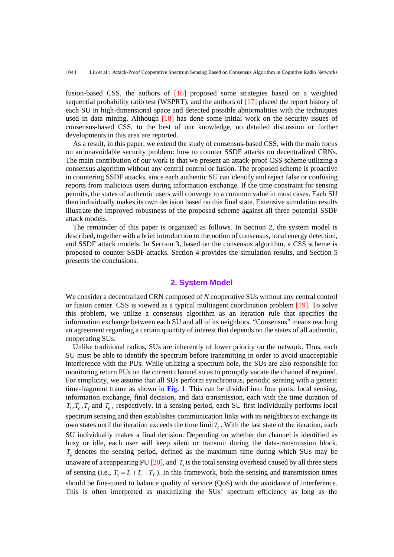fusion-based CSS, the authors of [16] proposed some strategies based on a weighted sequential probability ratio test (WSPRT), and the authors of [17] placed the report history of each SU in high-dimensional space and detected possible abnormalities with the techniques used in data mining. Although [18] has done some initial work on the security issues of consensus-based CSS, to the best of our knowledge, no detailed discussion or further developments in this area are reported.

As a result, in this paper, we extend the study of consensus-based CSS, with the main focus on an unavoidable security problem: how to counter SSDF attacks on decentralized CRNs. The main contribution of our work is that we present an attack-proof CSS scheme utilizing a consensus algorithm without any central control or fusion. The proposed scheme is proactive in countering SSDF attacks, since each authentic SU can identify and reject false or confusing reports from malicious users during information exchange. If the time constraint for sensing permits, the states of authentic users will converge to a common value in most cases. Each SU then individually makes its own decision based on this final state. Extensive simulation results illustrate the improved robustness of the proposed scheme against all three potential SSDF attack models.

The remainder of this paper is organized as follows. In Section 2, the system model is described, together with a brief introduction to the notion of consensus, local energy detection, and SSDF attack models. In Section 3, based on the consensus algorithm, a CSS scheme is proposed to counter SSDF attacks. Section 4 provides the simulation results, and Section 5 presents the conclusions.

## **2. System Model**

We consider a decentralized CRN composed of *N* cooperative SUs without any central control or fusion center. CSS is viewed as a typical multiagent coordination problem [19]. To solve this problem, we utilize a consensus algorithm as an iteration rule that specifies the information exchange between each SU and all of its neighbors. "Consensus" means reaching an agreement regarding a certain quantity of interest that depends on the states of all authentic, cooperating SUs.

Unlike traditional radios, SUs are inherently of lower priority on the network. Thus, each SU must be able to identify the spectrum before transmitting in order to avoid unacceptable interference with the PUs. While utilizing a spectrum hole, the SUs are also responsible for monitoring return PUs on the current channel so as to promptly vacate the channel if required. For simplicity, we assume that all SUs perform synchronous, periodic sensing with a generic time-fragment frame as shown in **Fig. 1**. This can be divided into four parts: local sensing, information exchange, final decision, and data transmission, each with the time duration of  $T_l$ ,  $T_c$ ,  $T_f$  and  $T_d$ , respectively. In a sensing period, each SU first individually performs local spectrum sensing and then establishes communication links with its neighbors to exchange its own states until the iteration exceeds the time limit  $T<sub>c</sub>$ . With the last state of the iteration, each SU individually makes a final decision. Depending on whether the channel is identified as busy or idle, each user will keep silent or transmit during the data-transmission block.  $T_p$  denotes the sensing period, defined as the maximum time during which SUs may be unaware of a reappearing PU  $[20]$ , and  $T<sub>s</sub>$  is the total sensing overhead caused by all three steps of sensing (i.e.,  $T_s = T_t + T_c + T_f$ ). In this framework, both the sensing and transmission times should be fine-tuned to balance quality of service (QoS) with the avoidance of interference. This is often interpreted as maximizing the SUs' spectrum efficiency as long as the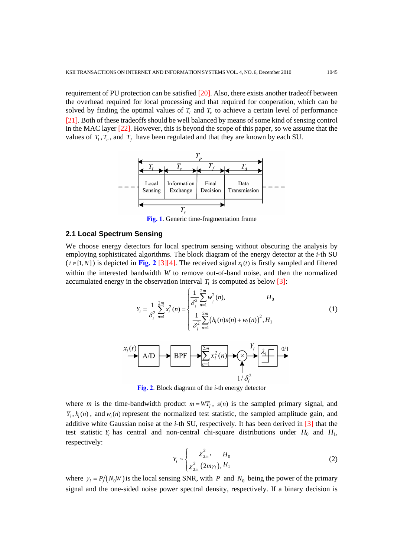requirement of PU protection can be satisfied [20]. Also, there exists another tradeoff between the overhead required for local processing and that required for cooperation, which can be solved by finding the optimal values of  $T_l$  and  $T_c$  to achieve a certain level of performance [21]. Both of these tradeoffs should be well balanced by means of some kind of sensing control in the MAC layer [22]. However, this is beyond the scope of this paper, so we assume that the values of  $T_l$ ,  $T_c$ , and  $T_f$  have been regulated and that they are known by each SU.



**Fig. 1**. Generic time-fragmentation frame

#### **2.1 Local Spectrum Sensing**

We choose energy detectors for local spectrum sensing without obscuring the analysis by employing sophisticated algorithms. The block diagram of the energy detector at the *i*-th SU  $(i \in [1, N])$  is depicted in **Fig. 2** [3][4]. The received signal  $x_i(t)$  is firstly sampled and filtered within the interested bandwidth *W* to remove out-of-band noise, and then the normalized accumulated energy in the observation interval  $T_l$  is computed as below [3]:

$$
Y_i = \frac{1}{\delta_i^2} \sum_{n=1}^{2m} x_i^2(n) = \begin{cases} \frac{1}{\delta_i^2} \sum_{n=1}^{2m} w_i^2(n), & H_0 \\ \frac{1}{\delta_i^2} \sum_{n=1}^{2m} (h_i(n)s(n) + w_i(n))^2, & H_1 \end{cases}
$$
(1)



**Fig. 2**. Block diagram of the *i*-th energy detector

where *m* is the time-bandwidth product  $m = WT_1$ ,  $s(n)$  is the sampled primary signal, and  $Y_i$ ,  $h_i(n)$ , and  $w_i(n)$  represent the normalized test statistic, the sampled amplitude gain, and additive white Gaussian noise at the *i*-th SU, respectively. It has been derived in [3] that the test statistic  $Y_i$  has central and non-central chi-square distributions under  $H_0$  and  $H_1$ , respectively:

$$
Y_i \sim \begin{cases} \mathcal{X}_{2m}^2, & H_0 \\ \mathcal{X}_{2m}^2 (2m\gamma_i), & H_1 \end{cases}
$$
 (2)

where  $\gamma_i = P/(N_0 W)$  is the local sensing SNR, with *P* and  $N_0$  being the power of the primary signal and the one-sided noise power spectral density, respectively. If a binary decision is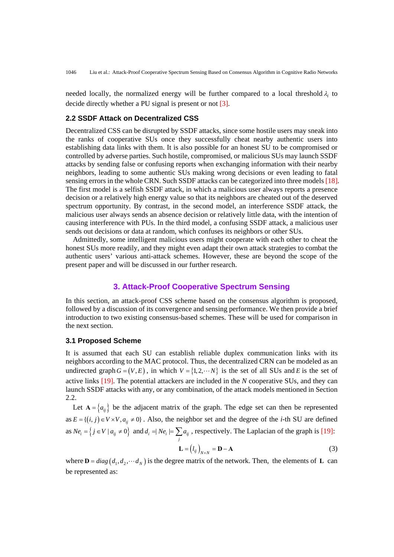needed locally, the normalized energy will be further compared to a local threshold  $\lambda_i$  to decide directly whether a PU signal is present or not [3].

#### **2.2 SSDF Attack on Decentralized CSS**

Decentralized CSS can be disrupted by SSDF attacks, since some hostile users may sneak into the ranks of cooperative SUs once they successfully cheat nearby authentic users into establishing data links with them. It is also possible for an honest SU to be compromised or controlled by adverse parties. Such hostile, compromised, or malicious SUs may launch SSDF attacks by sending false or confusing reports when exchanging information with their nearby neighbors, leading to some authentic SUs making wrong decisions or even leading to fatal sensing errors in the whole CRN. Such SSDF attacks can be categorized into three models [18]. The first model is a selfish SSDF attack, in which a malicious user always reports a presence decision or a relatively high energy value so that its neighbors are cheated out of the deserved spectrum opportunity. By contrast, in the second model, an interference SSDF attack, the malicious user always sends an absence decision or relatively little data, with the intention of causing interference with PUs. In the third model, a confusing SSDF attack, a malicious user sends out decisions or data at random, which confuses its neighbors or other SUs.

Admittedly, some intelligent malicious users might cooperate with each other to cheat the honest SUs more readily, and they might even adapt their own attack strategies to combat the authentic users' various anti-attack schemes. However, these are beyond the scope of the present paper and will be discussed in our further research.

# **3. Attack-Proof Cooperative Spectrum Sensing**

In this section, an attack-proof CSS scheme based on the consensus algorithm is proposed, followed by a discussion of its convergence and sensing performance. We then provide a brief introduction to two existing consensus-based schemes. These will be used for comparison in the next section.

#### **3.1 Proposed Scheme**

It is assumed that each SU can establish reliable duplex communication links with its neighbors according to the MAC protocol. Thus, the decentralized CRN can be modeled as an undirected graph  $G = (V, E)$ , in which  $V = \{1, 2, \dots N\}$  is the set of all SUs and *E* is the set of active links [19]. The potential attackers are included in the *N* cooperative SUs, and they can launch SSDF attacks with any, or any combination, of the attack models mentioned in Section 2.2.

Let  $A = \{a_{ij}\}\)$  be the adjacent matrix of the graph. The edge set can then be represented as  $E = \{(i, j) \in V \times V, a_{ij} \neq 0\}$ . Also, the neighbor set and the degree of the *i*-th SU are defined as  $Ne_i = \left\{ j \in V \mid a_{ij} \neq 0 \right\}$  and  $d_i = Ne_i = \sum_j a_{ij}$ , respectively. The Laplacian of the graph is [19]:

$$
\mathbf{L} = (l_{ij})_{N \times N} = \mathbf{D} - \mathbf{A}
$$
 (3)

where  $D = diag(d_1, d_2, \dots, d_N)$  is the degree matrix of the network. Then, the elements of L can be represented as: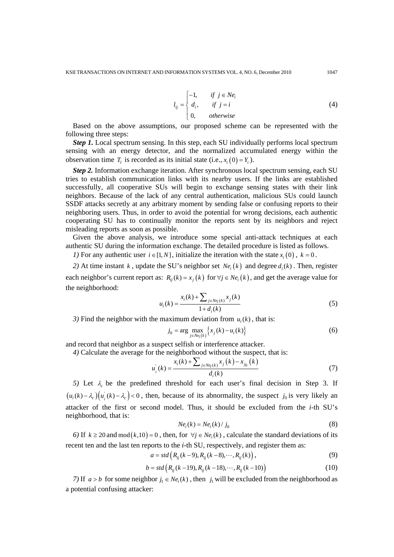$$
l_{ij} = \begin{cases} -1, & \text{if } j \in Ne_i \\ d_i, & \text{if } j = i \\ 0, & \text{otherwise} \end{cases} \tag{4}
$$

Based on the above assumptions, our proposed scheme can be represented with the following three steps:

*Step 1.* Local spectrum sensing. In this step, each SU individually performs local spectrum sensing with an energy detector, and the normalized accumulated energy within the observation time  $T_i$  is recorded as its initial state (i.e.,  $x_i(0) = Y_i$ ).

*Step 2.* Information exchange iteration. After synchronous local spectrum sensing, each SU tries to establish communication links with its nearby users. If the links are established successfully, all cooperative SUs will begin to exchange sensing states with their link neighbors. Because of the lack of any central authentication, malicious SUs could launch SSDF attacks secretly at any arbitrary moment by sending false or confusing reports to their neighboring users. Thus, in order to avoid the potential for wrong decisions, each authentic cooperating SU has to continually monitor the reports sent by its neighbors and reject misleading reports as soon as possible.

Given the above analysis, we introduce some special anti-attack techniques at each authentic SU during the information exchange. The detailed procedure is listed as follows.

*1*) For any authentic user  $i \in [1, N]$ , initialize the iteration with the state  $x_i(0)$ ,  $k = 0$ .

*2)* At time instant *k*, update the SU's neighbor set  $Ne<sub>i</sub>(k)$  and degree  $d<sub>i</sub>(k)$ . Then, register each neighbor's current report as:  $R_{ii}(k) = x_i(k)$  for  $\forall j \in Ne_i(k)$ , and get the average value for the neighborhood:

$$
u_i(k) = \frac{x_i(k) + \sum_{j \in Ne_i(k)} x_j(k)}{1 + d_i(k)}
$$
(5)

*3)* Find the neighbor with the maximum deviation from  $u_i(k)$ , that is:

$$
j_0 = \arg\max_{j \in N e_i(k)} \left\{ x_j(k) - u_i(k) \right\} \tag{6}
$$

and record that neighbor as a suspect selfish or interference attacker.

*4)* Calculate the average for the neighborhood without the suspect, that is:

$$
u_i^{'}(k) = \frac{x_i(k) + \sum_{j \in Ne_i(k)} x_j(k) - x_{j_0}(k)}{d_i(k)}
$$
(7)

*5)* Let  $\lambda_c$  be the predefined threshold for each user's final decision in Step 3. If  $(u_i(k) - \lambda_c)(u_i(k) - \lambda_c) < 0$ , then, because of its abnormality, the suspect  $j_0$  is very likely an attacker of the first or second model. Thus, it should be excluded from the *i*-th SU's neighborhood, that is:

$$
Nei(k) = Nei(k) / j0
$$
 (8)

6) If  $k \ge 20$  and mod  $(k, 10) = 0$ , then, for  $\forall j \in Ne$ ,  $(k)$ , calculate the standard deviations of its recent ten and the last ten reports to the *i*-th SU, respectively, and register them as:

$$
a = std\left(R_{ij}(k-9), R_{ij}(k-8), \cdots, R_{ij}(k)\right),\tag{9}
$$

$$
b = std\left(R_{ij}(k-19), R_{ij}(k-18), \cdots, R_{ij}(k-10)\right)
$$
\n(10)

*7)* If  $a > b$  for some neighbor  $j_1 \in Ne_i(k)$ , then  $j_1$  will be excluded from the neighborhood as a potential confusing attacker: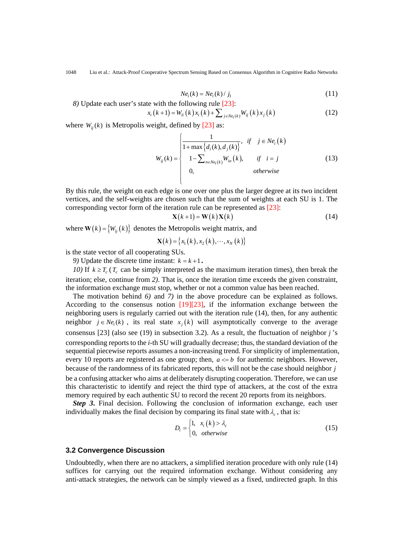$$
Nei(k) = Nei(k) / j1
$$
\n(11)

*8)* Update each user's state with the following rule [23]:  $x_i (k+1) = W_{ii} (k) x_i (k) + \sum_{j \in Ne_i(k)} W_{ij} (k) x_j (k)$  (12)

where  $W_{ii}(k)$  is Metropolis weight, defined by [23] as:

$$
W_{ij}(k) = \begin{cases} \frac{1}{1 + \max\{d_i(k), d_j(k)\}}, & \text{if } j \in Ne_i(k) \\ 1 - \sum_{n \in Ne_i(k)} W_{in}(k), & \text{if } i = j \\ 0, & \text{otherwise} \end{cases}
$$
(13)

By this rule, the weight on each edge is one over one plus the larger degree at its two incident vertices, and the self-weights are chosen such that the sum of weights at each SU is 1. The corresponding vector form of the iteration rule can be represented as [23]:

$$
\mathbf{X}(k+1) = \mathbf{W}(k)\mathbf{X}(k) \tag{14}
$$

where  $W(k) = \{W_{ii}(k)\}\)$  denotes the Metropolis weight matrix, and

$$
\mathbf{X}(k) = \{x_1(k), x_2(k), \cdots, x_N(k)\}
$$

is the state vector of all cooperating SUs.

*9)* Update the discrete time instant:  $k = k + 1$ .

*10)* If  $k \geq T_c$  ( $T_c$  can be simply interpreted as the maximum iteration times), then break the iteration; else, continue from *2)*. That is, once the iteration time exceeds the given constraint, the information exchange must stop, whether or not a common value has been reached.

The motivation behind *6)* and *7)* in the above procedure can be explained as follows. According to the consensus notion [19][23], if the information exchange between the neighboring users is regularly carried out with the iteration rule (14), then, for any authentic neighbor  $j \in Ne<sub>i</sub>(k)$ , its real state  $x<sub>i</sub>(k)$  will asymptotically converge to the average consensus [23] (also see (19) in subsection 3.2). As a result, the fluctuation of neighbor *j* 's corresponding reports to the *i*-th SU will gradually decrease; thus, the standard deviation of the sequential piecewise reports assumes a non-increasing trend. For simplicity of implementation, every 10 reports are registered as one group; then,  $a \leq b$  for authentic neighbors. However, because of the randomness of its fabricated reports, this will not be the case should neighbor *j*

be a confusing attacker who aims at deliberately disrupting cooperation. Therefore, we can use this characteristic to identify and reject the third type of attackers, at the cost of the extra memory required by each authentic SU to record the recent 20 reports from its neighbors.

*Step 3*. Final decision. Following the conclusion of information exchange, each user individually makes the final decision by comparing its final state with  $\lambda_c$ , that is:

$$
D_i = \begin{cases} 1, & x_i(k) > \lambda_c \\ 0, & \text{otherwise} \end{cases} \tag{15}
$$

#### **3.2 Convergence Discussion**

Undoubtedly, when there are no attackers, a simplified iteration procedure with only rule (14) suffices for carrying out the required information exchange. Without considering any anti-attack strategies, the network can be simply viewed as a fixed, undirected graph. In this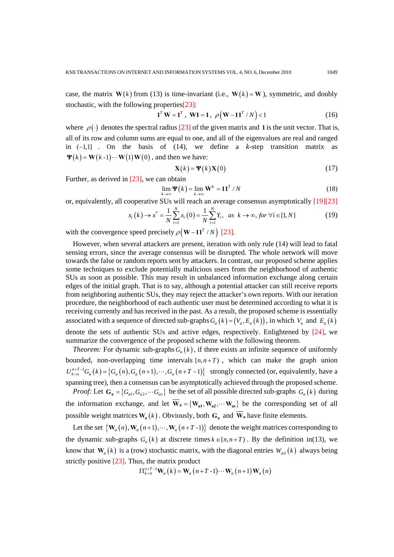case, the matrix  $W(k)$  from (13) is time-invariant (i.e.,  $W(k) = W$ ), symmetric, and doubly stochastic, with the following properties[23]:

$$
1^T W = 1^T, \ W1 = 1, \ \rho(W - 11^T / N) < 1 \tag{16}
$$

where  $\rho(\cdot)$  denotes the spectral radius [23] of the given matrix and **1** is the unit vector. That is, all of its row and column sums are equal to one, and all of the eigenvalues are real and ranged in  $(-1,1]$  . On the basis of  $(14)$ , we define a *k*-step transition matrix as  $\Psi(k) = W(k-1) \cdots W(1) W(0)$ , and then we have:

$$
\mathbf{X}(k) = \mathbf{\Psi}(k)\mathbf{X}(0) \tag{17}
$$

Further, as derived in [23], we can obtain

$$
\lim_{k \to \infty} \Psi(k) = \lim_{k \to \infty} \mathbf{W}^k = \mathbf{1} \mathbf{1}^T / N \tag{18}
$$

or, equivalently, all cooperative SUs will reach an average consensus asymptotically [19][23]

$$
x_i(k) \to x^* = \frac{1}{N} \sum_{i=1}^{N} x_i(0) = \frac{1}{N} \sum_{i=1}^{N} Y_i, \text{ as } k \to \infty, \text{ for } \forall i \in [1, N] \tag{19}
$$

with the convergence speed precisely  $\rho \left( \mathbf{W} - \mathbf{11}^T / N \right)$  [23].

However, when several attackers are present, iteration with only rule (14) will lead to fatal sensing errors, since the average consensus will be disrupted. The whole network will move towards the false or random reports sent by attackers. In contrast, our proposed scheme applies some techniques to exclude potentially malicious users from the neighborhood of authentic SUs as soon as possible. This may result in unbalanced information exchange along certain edges of the initial graph. That is to say, although a potential attacker can still receive reports from neighboring authentic SUs, they may reject the attacker's own reports. With our iteration procedure, the neighborhood of each authentic user must be determined according to what it is receiving currently and has received in the past. As a result, the proposed scheme is essentially associated with a sequence of directed sub-graphs  $G_a(k) = (V_a, E_a(k))$ , in which  $V_a$  and  $E_a(k)$ denote the sets of authentic SUs and active edges, respectively. Enlightened by [24], we summarize the convergence of the proposed scheme with the following theorem.

*Theorem:* For dynamic sub-graphs  $G<sub>a</sub>(k)$ , if there exists an infinite sequence of uniformly bounded, non-overlapping time intervals  $[n, n+T)$ , which can make the graph union  $U_{k=n}^{n+T-1}G_a(k) = \left\{G_a(n), G_a(n+1), \cdots, G_a(n+T-1)\right\}$  strongly connected (or, equivalently, have a spanning tree), then a consensus can be asymptotically achieved through the proposed scheme. *Proof:* Let  $G_a = \{G_a, G_a, \dots, G_a\}$  be the set of all possible directed sub-graphs  $G_a(k)$  during

the information exchange, and let  $\overline{W}_a = \{W_{a1}, W_{a2}, \cdots W_{as}\}\$  be the corresponding set of all possible weight matrices  $W_a(k)$ . Obviously, both  $G_a$  and  $\overline{W}_a$  have finite elements.

Let the set  $\{W_a(n), W_a(n+1), \cdots, W_a(n+T-1)\}\$  denote the weight matrices corresponding to the dynamic sub-graphs  $G_a(k)$  at discrete times  $k \in [n, n+T)$ . By the definition in(13), we know that  $W_a(k)$  is a (row) stochastic matrix, with the diagonal entries  $W_{ai}(k)$  always being strictly positive [23]. Thus, the matrix product

$$
\Pi_{k=n}^{n+T-1} \mathbf{W}_a(k) = \mathbf{W}_a(n+T-1) \cdots \mathbf{W}_a(n+1) \mathbf{W}_a(n)
$$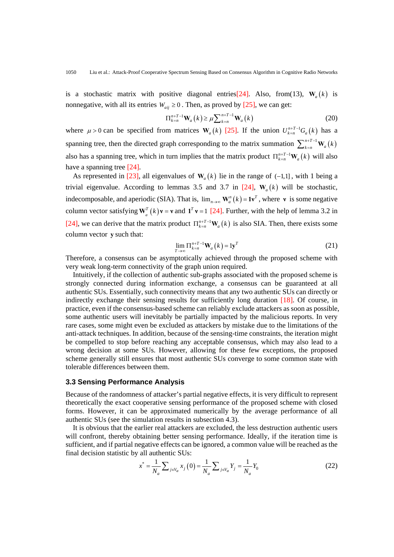is a stochastic matrix with positive diagonal entries<sup>[24]</sup>. Also, from(13),  $W_a(k)$  is nonnegative, with all its entries  $W_{ai} \ge 0$ . Then, as proved by [25], we can get:

$$
\Pi_{k=n}^{n+T-1} \mathbf{W}_a(k) \ge \mu \sum_{k=n}^{n+T-1} \mathbf{W}_a(k)
$$
\n(20)

where  $\mu > 0$  can be specified from matrices  $W_a(k)$  [25]. If the union  $U_{k=n}^{n+1-1}G_a(k)$  has a spanning tree, then the directed graph corresponding to the matrix summation  $\sum_{k=n}^{n+T-1} \mathbf{W}_a(k)$ also has a spanning tree, which in turn implies that the matrix product  $\prod_{k=n}^{n+T-1} \mathbf{W}_a(k)$  will also have a spanning tree [24].

As represented in [23], all eigenvalues of  $W_a(k)$  lie in the range of  $(-1,1]$ , with 1 being a trivial eigenvalue. According to lemmas 3.5 and 3.7 in [24],  $W_a(k)$  will be stochastic, indecomposable, and aperiodic (SIA). That is,  $\lim_{n\to\infty} \mathbf{W}_a^n(k) = \mathbf{1}\mathbf{v}^T$ , where **v** is some negative column vector satisfying  $\mathbf{W}_a^T(k)\mathbf{v} = \mathbf{v}$  and  $\mathbf{1}^T \mathbf{v} = 1$  [24]. Further, with the help of lemma 3.2 in [24], we can derive that the matrix product  $\Pi_{k=n}^{n+T-1} \mathbf{W}_{a}(k)$  is also SIA. Then, there exists some column vector **y** such that:

$$
\lim_{T \to \infty} \Pi_{k=n}^{n+T-1} \mathbf{W}_a(k) = \mathbf{1} \mathbf{y}^T
$$
\n(21)

Therefore, a consensus can be asymptotically achieved through the proposed scheme with very weak long-term connectivity of the graph union required.

Intuitively, if the collection of authentic sub-graphs associated with the proposed scheme is strongly connected during information exchange, a consensus can be guaranteed at all authentic SUs. Essentially, such connectivity means that any two authentic SUs can directly or indirectly exchange their sensing results for sufficiently long duration [18]. Of course, in practice, even if the consensus-based scheme can reliably exclude attackers as soon as possible, some authentic users will inevitably be partially impacted by the malicious reports. In very rare cases, some might even be excluded as attackers by mistake due to the limitations of the anti-attack techniques. In addition, because of the sensing-time constraints, the iteration might be compelled to stop before reaching any acceptable consensus, which may also lead to a wrong decision at some SUs. However, allowing for these few exceptions, the proposed scheme generally still ensures that most authentic SUs converge to some common state with tolerable differences between them.

#### **3.3 Sensing Performance Analysis**

Because of the randomness of attacker's partial negative effects, it is very difficult to represent theoretically the exact cooperative sensing performance of the proposed scheme with closed forms. However, it can be approximated numerically by the average performance of all authentic SUs (see the simulation results in subsection 4.3).

It is obvious that the earlier real attackers are excluded, the less destruction authentic users will confront, thereby obtaining better sensing performance. Ideally, if the iteration time is sufficient, and if partial negative effects can be ignored, a common value will be reached as the final decision statistic by all authentic SUs:

$$
x^* = \frac{1}{N_a} \sum_{j \in V_a} x_j(0) = \frac{1}{N_a} \sum_{j \in V_a} Y_j = \frac{1}{N_a} Y_0
$$
 (22)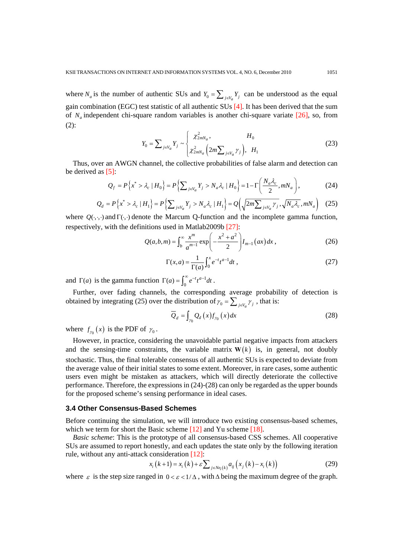where  $N_a$  is the number of authentic SUs and  $Y_0 = \sum_{j \in V_a} Y_j$  can be understood as the equal gain combination (EGC) test statistic of all authentic SUs [4]. It has been derived that the sum of  $N_a$  independent chi-square random variables is another chi-square variate  $[26]$ , so, from (2):

$$
Y_0 = \sum_{j \in V_a} Y_j \sim \begin{cases} \chi^2_{2mN_a}, & H_0 \\ \chi^2_{2mN_a} \left( 2m \sum_{j \in V_a} \gamma_j \right), & H_1 \end{cases}
$$
(23)

Thus, over an AWGN channel, the collective probabilities of false alarm and detection can be derived as  $[5]$ :

$$
Q_f = P\left\{x^* > \lambda_c \mid H_0\right\} = P\left\{\sum_{j \in V_a} Y_j > N_a \lambda_c \mid H_0\right\} = 1 - \Gamma\left(\frac{N_a \lambda_c}{2}, m N_a\right),\tag{24}
$$

$$
Q_d = P\left\{x^* > \lambda_c \mid H_1\right\} = P\left\{\sum_{j \in V_a} Y_j > N_a \lambda_c \mid H_1\right\} = Q\left(\sqrt{2m\sum_{j \in V_a} \gamma_j}, \sqrt{N_a \lambda_c}, m N_a\right) \tag{25}
$$

where  $Q(\cdot,\cdot)$  and  $\Gamma(\cdot,\cdot)$  denote the Marcum Q-function and the incomplete gamma function, respectively, with the definitions used in Matlab2009b [27]:

$$
Q(a,b,m) = \int_b^{\infty} \frac{x^m}{a^{m-1}} \exp\left(-\frac{x^2 + a^2}{2}\right) I_{m-1}(ax) dx , \qquad (26)
$$

$$
\Gamma(x,a) = \frac{1}{\Gamma(a)} \int_0^x e^{-t} t^{a-1} dt,
$$
\n(27)

and  $\Gamma(a)$  is the gamma function  $\Gamma(a) = \int_0^\infty e^{-t} t^{a-1} dt$ .

Further, over fading channels, the corresponding average probability of detection is obtained by integrating (25) over the distribution of  $\gamma_0 = \sum_{j \in V_a} \gamma_j$ , that is:

$$
\overline{Q}_d = \int_{\gamma_0} Q_d(x) f_{\gamma_0}(x) dx \tag{28}
$$

where  $f_{\gamma_0}(x)$  is the PDF of  $\gamma_0$ .

However, in practice, considering the unavoidable partial negative impacts from attackers and the sensing-time constraints, the variable matrix  $W(k)$  is, in general, not doubly stochastic. Thus, the final tolerable consensus of all authentic SUs is expected to deviate from the average value of their initial states to some extent. Moreover, in rare cases, some authentic users even might be mistaken as attackers, which will directly deteriorate the collective performance. Therefore, the expressions in (24)-(28) can only be regarded as the upper bounds for the proposed scheme's sensing performance in ideal cases.

## **3.4 Other Consensus-Based Schemes**

Before continuing the simulation, we will introduce two existing consensus-based schemes, which we term for short the Basic scheme [12] and Yu scheme [18].

*Basic scheme*: This is the prototype of all consensus-based CSS schemes. All cooperative SUs are assumed to report honestly, and each updates the state only by the following iteration rule, without any anti-attack consideration [12]:

$$
x_i(k+1) = x_i(k) + \varepsilon \sum_{j \in Ne_i(k)} a_{ij} (x_j(k) - x_i(k))
$$
 (29)

where  $\varepsilon$  is the step size ranged in  $0 < \varepsilon < 1/\Delta$ , with  $\Delta$  being the maximum degree of the graph.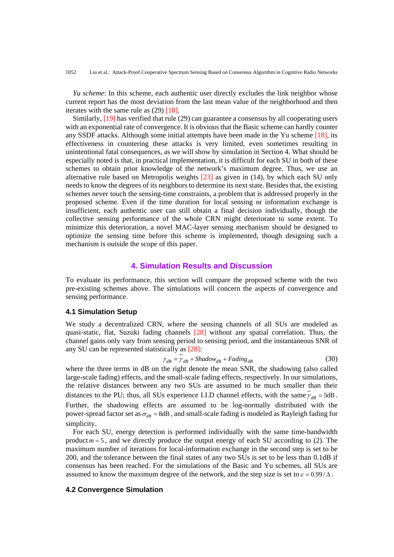*Yu scheme*: In this scheme, each authentic user directly excludes the link neighbor whose current report has the most deviation from the last mean value of the neighborhood and then iterates with the same rule as  $(29)$  [18].

Similarly, [19] has verified that rule (29) can guarantee a consensus by all cooperating users with an exponential rate of convergence. It is obvious that the Basic scheme can hardly counter any SSDF attacks. Although some initial attempts have been made in the Yu scheme [18], its effectiveness in countering these attacks is very limited, even sometimes resulting in unintentional fatal consequences, as we will show by simulation in Section 4. What should be especially noted is that, in practical implementation, it is difficult for each SU in both of these schemes to obtain prior knowledge of the network's maximum degree. Thus, we use an alternative rule based on Metropolis weights [23] as given in (14), by which each SU only needs to know the degrees of its neighbors to determine its next state. Besides that, the existing schemes never touch the sensing-time constraints, a problem that is addressed properly in the proposed scheme. Even if the time duration for local sensing or information exchange is insufficient, each authentic user can still obtain a final decision individually, though the collective sensing performance of the whole CRN might deteriorate to some extent. To minimize this deterioration, a novel MAC-layer sensing mechanism should be designed to optimize the sensing time before this scheme is implemented, though designing such a mechanism is outside the scope of this paper.

## **4. Simulation Results and Discussion**

To evaluate its performance, this section will compare the proposed scheme with the two pre-existing schemes above. The simulations will concern the aspects of convergence and sensing performance.

#### **4.1 Simulation Setup**

We study a decentralized CRN, where the sensing channels of all SUs are modeled as quasi-static, flat, Suzuki fading channels [28] without any spatial correlation. Thus, the channel gains only vary from sensing period to sensing period, and the instantaneous SNR of any SU can be represented statistically as [28]:

$$
\gamma_{dB} = \gamma_{dB} + Shadow_{dB} + Fading_{dB}
$$
\n(30)

where the three terms in dB on the right denote the mean SNR, the shadowing (also called large-scale fading) effects, and the small-scale fading effects, respectively. In our simulations, the relative distances between any two SUs are assumed to be much smaller than their distances to the PU; thus, all SUs experience I.I.D channel effects, with the same  $\bar{y}_{AB} = 5dB$ . Further, the shadowing effects are assumed to be log-normally distributed with the power-spread factor set as  $\sigma_{\text{dB}}$  = 8dB, and small-scale fading is modeled as Rayleigh fading for simplicity.

For each SU, energy detection is performed individually with the same time-bandwidth product  $m = 5$ , and we directly produce the output energy of each SU according to (2). The maximum number of iterations for local-information exchange in the second step is set to be 200, and the tolerance between the final states of any two SUs is set to be less than 0.1dB if consensus has been reached. For the simulations of the Basic and Yu schemes, all SUs are assumed to know the maximum degree of the network, and the step size is set to  $\varepsilon = 0.99 / \Delta$ .

## **4.2 Convergence Simulation**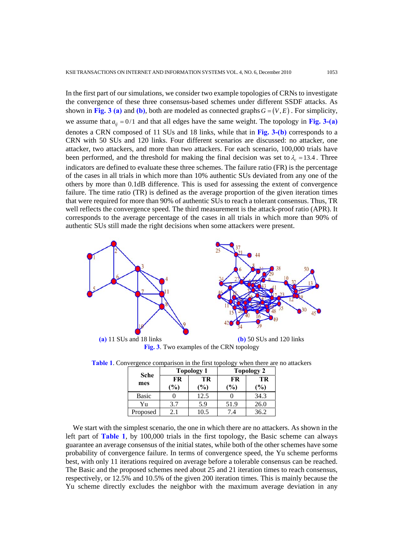In the first part of our simulations, we consider two example topologies of CRNs to investigate the convergence of these three consensus-based schemes under different SSDF attacks. As shown in Fig. 3 (a) and (b), both are modeled as connected graphs  $G = (V, E)$ . For simplicity, we assume that  $a_{ij} = 0/1$  and that all edges have the same weight. The topology in Fig. 3-(a) denotes a CRN composed of 11 SUs and 18 links, while that in **Fig. 3-(b)** corresponds to a CRN with 50 SUs and 120 links. Four different scenarios are discussed: no attacker, one attacker, two attackers, and more than two attackers. For each scenario, 100,000 trials have been performed, and the threshold for making the final decision was set to  $\lambda_{\rm s} = 13.4$ . Three indicators are defined to evaluate these three schemes. The failure ratio (FR) is the percentage of the cases in all trials in which more than 10% authentic SUs deviated from any one of the others by more than 0.1dB difference. This is used for assessing the extent of convergence failure. The time ratio (TR) is defined as the average proportion of the given iteration times that were required for more than 90% of authentic SUs to reach a tolerant consensus. Thus, TR well reflects the convergence speed. The third measurement is the attack-proof ratio (APR). It corresponds to the average percentage of the cases in all trials in which more than 90% of authentic SUs still made the right decisions when some attackers were present.



 **(a)** 11 SUs and 18 links **(b)** 50 SUs and 120 links **Fig. 3**. Two examples of the CRN topology

|                    |                     | <b>Topology 1</b> | ວມ<br><b>Topology 2</b> |                     |  |
|--------------------|---------------------|-------------------|-------------------------|---------------------|--|
| <b>Sche</b><br>mes | FR<br>$\frac{1}{2}$ | TR<br>$\%$        | FR<br>$\mathcal{O}_0$   | TR<br>$\frac{9}{0}$ |  |
| <b>Basic</b>       |                     | 12.5              |                         | 34.3                |  |
| Υu                 |                     | 5.9               | 51.9                    | $26.$ f             |  |

Proposed 2.1 10.5 7.4 36.2

**Table 1**. Convergence comparison in the first topology when there are no attackers

We start with the simplest scenario, the one in which there are no attackers. As shown in the left part of **Table 1**, by 100,000 trials in the first topology, the Basic scheme can always guarantee an average consensus of the initial states, while both of the other schemes have some probability of convergence failure. In terms of convergence speed, the Yu scheme performs best, with only 11 iterations required on average before a tolerable consensus can be reached. The Basic and the proposed schemes need about 25 and 21 iteration times to reach consensus, respectively, or 12.5% and 10.5% of the given 200 iteration times. This is mainly because the Yu scheme directly excludes the neighbor with the maximum average deviation in any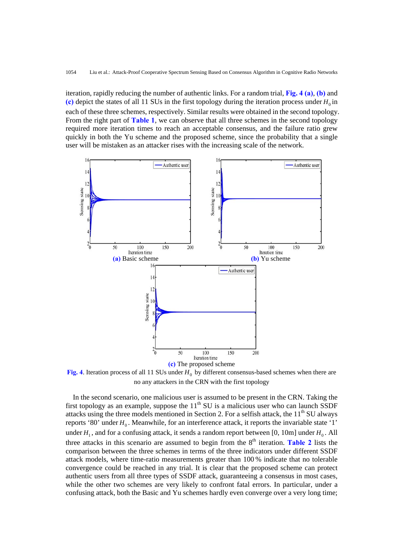iteration, rapidly reducing the number of authentic links. For a random trial, **Fig. 4 (a)**, **(b)** and (c) depict the states of all 11 SUs in the first topology during the iteration process under  $H_0$  in each of these three schemes, respectively. Similar results were obtained in the second topology. From the right part of **Table 1**, we can observe that all three schemes in the second topology required more iteration times to reach an acceptable consensus, and the failure ratio grew quickly in both the Yu scheme and the proposed scheme, since the probability that a single user will be mistaken as an attacker rises with the increasing scale of the network.



**Fig. 4.** Iteration process of all 11 SUs under  $H_0$  by different consensus-based schemes when there are no any attackers in the CRN with the first topology

In the second scenario, one malicious user is assumed to be present in the CRN. Taking the first topology as an example, suppose the  $11<sup>th</sup> SU$  is a malicious user who can launch SSDF attacks using the three models mentioned in Section 2. For a selfish attack, the 11<sup>th</sup> SU always reports '80' under  $H_0$ . Meanwhile, for an interference attack, it reports the invariable state '1' under  $H_1$ , and for a confusing attack, it sends a random report between [0, 10m] under  $H_0$ . All three attacks in this scenario are assumed to begin from the  $8<sup>th</sup>$  iteration. **Table 2** lists the comparison between the three schemes in terms of the three indicators under different SSDF attack models, where time-ratio measurements greater than 100 % indicate that no tolerable convergence could be reached in any trial. It is clear that the proposed scheme can protect authentic users from all three types of SSDF attack, guaranteeing a consensus in most cases, while the other two schemes are very likely to confront fatal errors. In particular, under a confusing attack, both the Basic and Yu schemes hardly even converge over a very long time;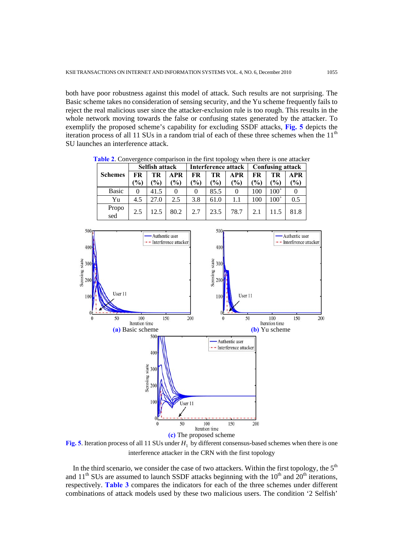both have poor robustness against this model of attack. Such results are not surprising. The Basic scheme takes no consideration of sensing security, and the Yu scheme frequently fails to reject the real malicious user since the attacker-exclusion rule is too rough. This results in the whole network moving towards the false or confusing states generated by the attacker. To exemplify the proposed scheme's capability for excluding SSDF attacks, **Fig. 5** depicts the iteration process of all 11 SUs in a random trial of each of these three schemes when the  $11<sup>th</sup>$ SU launches an interference attack.

|                | Selfish attack |               |               | Interference attack |               |            | <b>Confusing attack</b> |               |            |
|----------------|----------------|---------------|---------------|---------------------|---------------|------------|-------------------------|---------------|------------|
| <b>Schemes</b> | FR             | TR            | <b>APR</b>    | FR                  | TR            | <b>APR</b> | <b>FR</b>               | TR            | <b>APR</b> |
|                | $\%$           | $\frac{1}{2}$ | $\frac{1}{2}$ | $\frac{1}{2}$       | $\frac{1}{2}$ | (%)        | (%)                     | $\frac{1}{2}$ | (%)        |
| <b>Basic</b>   |                | 41.5          |               |                     | 85.5          |            | 100                     | $100^{+}$     |            |
| Yu             | 4.5            | 27.0          | 2.5           | 3.8                 | 61.0          | 1.1        | 100                     | $100^{+}$     | 0.5        |
| Propo<br>sed   | 2.5            | 12.5          | 80.2          | 2.7                 | 23.5          | 78.7       | 2.1                     | 11.5          | 81.8       |

**Table 2**. Convergence comparison in the first topology when there is one attacker



**Fig. 5**. Iteration process of all 11 SUs under  $H_1$  by different consensus-based schemes when there is one interference attacker in the CRN with the first topology

In the third scenario, we consider the case of two attackers. Within the first topology, the  $5<sup>th</sup>$ and  $11<sup>th</sup>$  SUs are assumed to launch SSDF attacks beginning with the  $10<sup>th</sup>$  and  $20<sup>th</sup>$  iterations, respectively. **Table 3** compares the indicators for each of the three schemes under different combinations of attack models used by these two malicious users. The condition '2 Selfish'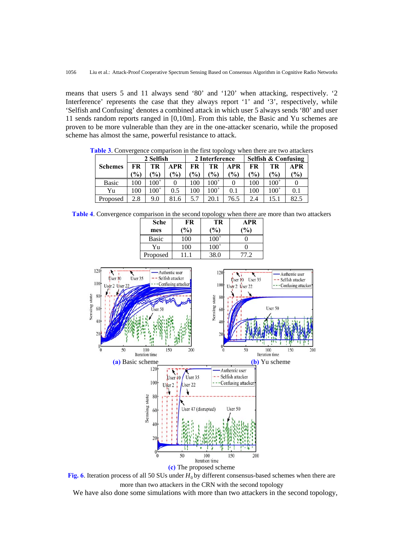means that users 5 and 11 always send '80' and '120' when attacking, respectively. '2 Interference' represents the case that they always report '1' and '3', respectively, while 'Selfish and Confusing' denotes a combined attack in which user 5 always sends '80' and user 11 sends random reports ranged in [0,10m]. From this table, the Basic and Yu schemes are proven to be more vulnerable than they are in the one-attacker scenario, while the proposed scheme has almost the same, powerful resistance to attack.

**Schemes**  2 Selfish 2 Interference Selfish & Confusing **FR (%) TR (%) APR (%) FR (%) TR (%) APR (%) FR (%) TR (%) APR (%)**  Basic 100 100<sup>+</sup> 0 100 100<sup>+</sup> 0 100 100<sup>+</sup> 0 Yu | 100 | 100<sup>+</sup> 0.5 100 100<sup>+</sup> 0.1 100 100<sup>+</sup> 0.1 Proposed 2.8 9.0 81.6 5.7 20.1 76.5 2.4 15.1 82.5

**Table 3**. Convergence comparison in the first topology when there are two attackers

**Table 4**. Convergence comparison in the second topology when there are more than two attackers

| Sche<br>mes  | FR<br>$\frac{1}{2}$ | ວມ<br>TR<br>(%) | APR<br>$\binom{0}{0}$ |
|--------------|---------------------|-----------------|-----------------------|
| <b>Basic</b> | 100                 | $100^{+}$       |                       |
| Yu           | 100                 | $100^{+}$       |                       |
| Proposed     |                     | 38.0            |                       |



**Fig. 6**. Iteration process of all 50 SUs under  $H_0$  by different consensus-based schemes when there are more than two attackers in the CRN with the second topology

We have also done some simulations with more than two attackers in the second topology,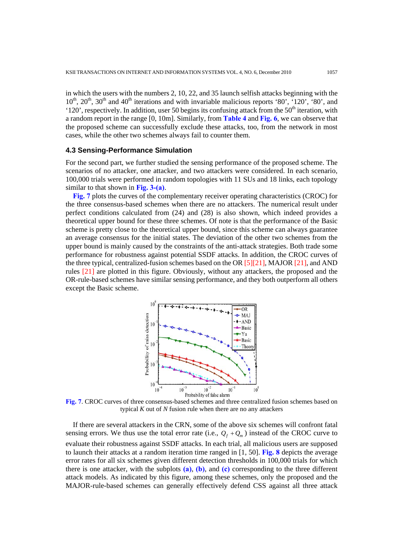in which the users with the numbers 2, 10, 22, and 35 launch selfish attacks beginning with the  $10^{th}$ ,  $20^{th}$ ,  $30^{th}$  and  $40^{th}$  iterations and with invariable malicious reports '80', '120', '80', and '120', respectively. In addition, user 50 begins its confusing attack from the  $50<sup>th</sup>$  iteration, with a random report in the range [0, 10m]. Similarly, from **Table 4** and **Fig. 6**, we can observe that the proposed scheme can successfully exclude these attacks, too, from the network in most cases, while the other two schemes always fail to counter them.

## **4.3 Sensing-Performance Simulation**

For the second part, we further studied the sensing performance of the proposed scheme. The scenarios of no attacker, one attacker, and two attackers were considered. In each scenario, 100,000 trials were performed in random topologies with 11 SUs and 18 links, each topology similar to that shown in **Fig. 3-(a)**.

**Fig. 7** plots the curves of the complementary receiver operating characteristics (CROC) for the three consensus-based schemes when there are no attackers. The numerical result under perfect conditions calculated from (24) and (28) is also shown, which indeed provides a theoretical upper bound for these three schemes. Of note is that the performance of the Basic scheme is pretty close to the theoretical upper bound, since this scheme can always guarantee an average consensus for the initial states. The deviation of the other two schemes from the upper bound is mainly caused by the constraints of the anti-attack strategies. Both trade some performance for robustness against potential SSDF attacks. In addition, the CROC curves of the three typical, centralized-fusion schemes based on the OR  $[5][21]$ , MAJOR  $[21]$ , and AND rules [21] are plotted in this figure. Obviously, without any attackers, the proposed and the OR-rule-based schemes have similar sensing performance, and they both outperform all others except the Basic scheme.



**Fig. 7**. CROC curves of three consensus-based schemes and three centralized fusion schemes based on typical *K* out of *N* fusion rule when there are no any attackers

If there are several attackers in the CRN, some of the above six schemes will confront fatal sensing errors. We thus use the total error rate (i.e.,  $Q_f + Q_m$ ) instead of the CROC curve to evaluate their robustness against SSDF attacks. In each trial, all malicious users are supposed to launch their attacks at a random iteration time ranged in [1, 50]. **Fig. 8** depicts the average error rates for all six schemes given different detection thresholds in 100,000 trials for which there is one attacker, with the subplots **(a)**, **(b)**, and **(c)** corresponding to the three different attack models. As indicated by this figure, among these schemes, only the proposed and the MAJOR-rule-based schemes can generally effectively defend CSS against all three attack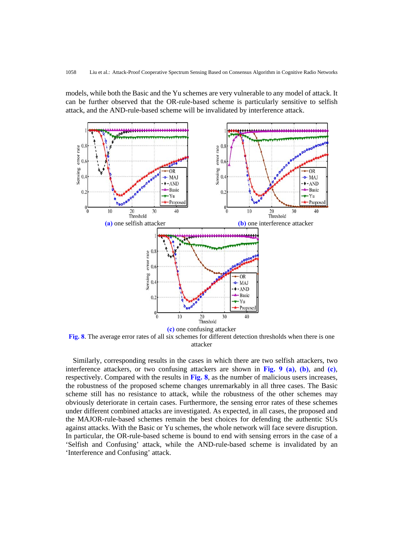models, while both the Basic and the Yu schemes are very vulnerable to any model of attack. It can be further observed that the OR-rule-based scheme is particularly sensitive to selfish attack, and the AND-rule-based scheme will be invalidated by interference attack.



**Fig. 8**. The average error rates of all six schemes for different detection thresholds when there is one attacker

Similarly, corresponding results in the cases in which there are two selfish attackers, two interference attackers, or two confusing attackers are shown in **Fig. 9 (a)**, **(b)**, and **(c)**, respectively. Compared with the results in **Fig. 8**, as the number of malicious users increases, the robustness of the proposed scheme changes unremarkably in all three cases. The Basic scheme still has no resistance to attack, while the robustness of the other schemes may obviously deteriorate in certain cases. Furthermore, the sensing error rates of these schemes under different combined attacks are investigated. As expected, in all cases, the proposed and the MAJOR-rule-based schemes remain the best choices for defending the authentic SUs against attacks. With the Basic or Yu schemes, the whole network will face severe disruption. In particular, the OR-rule-based scheme is bound to end with sensing errors in the case of a 'Selfish and Confusing' attack, while the AND-rule-based scheme is invalidated by an 'Interference and Confusing' attack.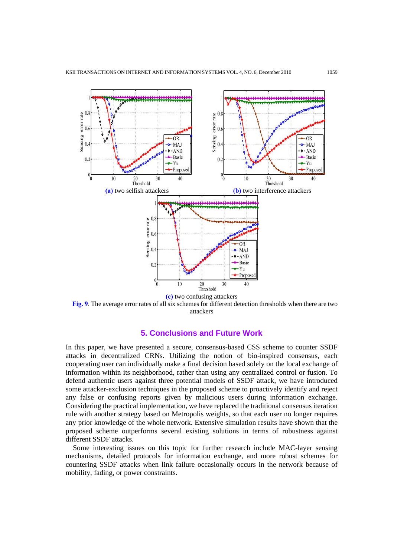

**Fig. 9**. The average error rates of all six schemes for different detection thresholds when there are two attackers

## **5. Conclusions and Future Work**

In this paper, we have presented a secure, consensus-based CSS scheme to counter SSDF attacks in decentralized CRNs. Utilizing the notion of bio-inspired consensus, each cooperating user can individually make a final decision based solely on the local exchange of information within its neighborhood, rather than using any centralized control or fusion. To defend authentic users against three potential models of SSDF attack, we have introduced some attacker-exclusion techniques in the proposed scheme to proactively identify and reject any false or confusing reports given by malicious users during information exchange. Considering the practical implementation, we have replaced the traditional consensus iteration rule with another strategy based on Metropolis weights, so that each user no longer requires any prior knowledge of the whole network. Extensive simulation results have shown that the proposed scheme outperforms several existing solutions in terms of robustness against different SSDF attacks.

Some interesting issues on this topic for further research include MAC-layer sensing mechanisms, detailed protocols for information exchange, and more robust schemes for countering SSDF attacks when link failure occasionally occurs in the network because of mobility, fading, or power constraints.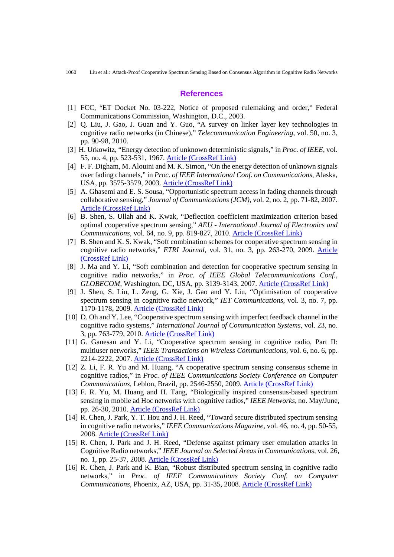#### **References**

- [1] FCC, "ET Docket No. 03-222, Notice of proposed rulemaking and order," Federal Communications Commission, Washington, D.C., 2003.
- [2] Q. Liu, J. Gao, J. Guan and Y. Guo, "A survey on linker layer key technologies in cognitive radio networks (in Chinese)," *Telecommunication Engineering*, vol. 50, no. 3, pp. 90-98, 2010.
- [3] H. Urkowitz, "Energy detection of unknown deterministic signals," in *Proc. of IEEE*, vol. 55, no. 4, pp. 523-531, 1967. [Article \(CrossRef Link\)](http://ieeexplore.ieee.org/xpl/freeabs_all.jsp?arnumber=1447503)
- [4] F. F. Digham, M. Alouini and M. K. Simon, "On the energy detection of unknown signals over fading channels," in *Proc. of IEEE International Conf. on Communications*, Alaska, USA, pp. 3575-3579, 2003. [Article \(CrossRef Link\)](http://ieeexplore.ieee.org/xpl/freeabs_all.jsp?arnumber=1204119)
- [5] A. Ghasemi and E. S. Sousa, "Opportunistic spectrum access in fading channels through collaborative sensing," *Journal of Communications (JCM)*, vol. 2, no. 2, pp. 71-82, 2007. [Article \(CrossRef Link\)](http://ojs.academypublisher.com/index.php/jcm/article/viewArticle/02027182)
- [6] B. Shen, S. Ullah and K. Kwak, "Deflection coefficient maximization criterion based optimal cooperative spectrum sensing," *AEU - International Journal of Electronics and Communications*, vol. 64, no. 9, pp. 819-827, 2010. [Article \(CrossRef Link\)](http://dx.doi.org/doi:10.1016/j.aeue.2009.06.006)
- [7] B. Shen and K. S. Kwak, "Soft combination schemes for cooperative spectrum sensing in cognitive radio networks," *ETRI Journal*[, vol. 31, no. 3, pp. 263-270, 2009. Article](http://dx.doi.org/doi:10.4218/etrij.09.0108.0501) (CrossRef Link)
- [8] J. Ma and Y. Li, "Soft combination and detection for cooperative spectrum sensing in cognitive radio networks," in *Proc. of IEEE Global Telecommunications Conf., GLOBECOM*, Washington, DC, USA, pp. 3139-3143, 2007. [Article \(CrossRef Link\)](http://ieeexplore.ieee.org/xpl/freeabs_all.jsp?arnumber=4686831)
- [9] J. Shen, S. Liu, L. Zeng, G. Xie, J. Gao and Y. Liu, "Optimisation of cooperative spectrum sensing in cognitive radio network," *IET Communications*, vol. 3, no. 7, pp. 1170-1178, 2009. [Article \(CrossRef Link\)](http://dx.doi.org/doi:10.1049/iet-com.2008.0177)
- [10] D. Oh and Y. Lee, "Cooperative spectrum sensing with imperfect feedback channel in the cognitive radio systems," *International Journal of Communication Systems*, vol. 23, no. 3, pp. 763-779, 2010. [Article \(CrossRef Link\)](http://www3.interscience.wiley.com/journal/123314008/abstract)
- [11] G. Ganesan and Y. Li, "Cooperative spectrum sensing in cognitive radio, Part II: multiuser networks," *IEEE Transactions on Wireless Communications*, vol. 6, no. 6, pp. 2214-2222, 2007. [Article \(CrossRef Link\)](http://dx.doi.org/doi:10.1109/TWC.2007.05776)
- [12] Z. Li, F. R. Yu and M. Huang, "A cooperative spectrum sensing consensus scheme in cognitive radios," in *Proc. of IEEE Communications Society Conference on Computer Communications*, Leblon, Brazil, pp. 2546-2550, 2009. [Article \(CrossRef Link\)](http://ieeexplore.ieee.org/xpls/abs_all.jsp?arnumber=5062184)
- [13] F. R. Yu, M. Huang and H. Tang, "Biologically inspired consensus-based spectrum sensing in mobile ad Hoc networks with cognitive radios," *IEEE Networks*, no. May/June, pp. 26-30, 2010. [Article \(CrossRef Link\)](http://dx.doi.org/doi:10.1109/MNET.2010.5464224)
- [14] R. Chen, J. Park, Y. T. Hou and J. H. Reed, "Toward secure distributed spectrum sensing in cognitive radio networks," *IEEE Communications Magazine*, vol. 46, no. 4, pp. 50-55, 2008. [Article \(CrossRef Link\)](http://dx.doi.org/doi:10.1109/MCOM.2008.4481340)
- [15] R. Chen, J. Park and J. H. Reed, "Defense against primary user emulation attacks in Cognitive Radio networks," *IEEE Journal on Selected Areas in Communications*, vol. 26, no. 1, pp. 25-37, 2008. [Article \(CrossRef Link\)](http://dx.doi.org/doi:10.1109/JSAC.2008.080104)
- [16] R. Chen, J. Park and K. Bian, "Robust distributed spectrum sensing in cognitive radio networks," in *Proc. of IEEE Communications Society Conf. on Computer Communications*, Phoenix, AZ, USA, pp. 31-35, 2008. [Article \(CrossRef Link\)](http://ieeexplore.ieee.org/xpls/abs_all.jsp?arnumber=4509846)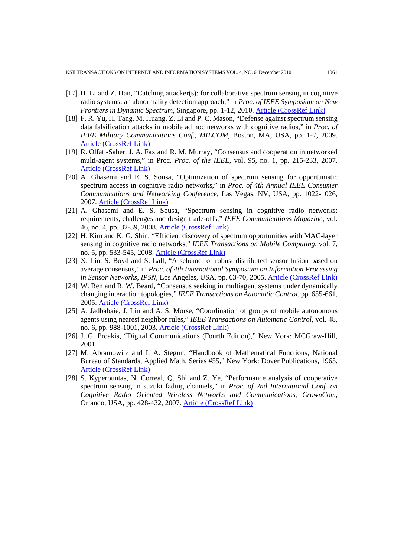- [17] H. Li and Z. Han, "Catching attacker(s): for collaborative spectrum sensing in cognitive radio systems: an abnormality detection approach," in *Proc. of IEEE Symposium on New Frontiers in Dynamic Spectrum*, Singapore, pp. 1-12, 2010. [Article \(CrossRef Link\)](http://dx.doi.org/doi:10.1109/DYSPAN.2010.5457898)
- [18] F. R. Yu, H. Tang, M. Huang, Z. Li and P. C. Mason, "Defense against spectrum sensing data falsification attacks in mobile ad hoc networks with cognitive radios," in *Proc. of IEEE Military Communications Conf., MILCOM*, Boston, MA, USA, pp. 1-7, 2009. [Article \(CrossRef Link\)](http://ieeexplore.ieee.org/xpl/freeabs_all.jsp?arnumber=5379832)
- [19] R. Olfati-Saber, J. A. Fax and R. M. Murray, "Consensus and cooperation in networked multi-agent systems," in Proc. *Proc. of the IEEE*, vol. 95, no. 1, pp. 215-233, 2007. [Article \(CrossRef Link\)](http://dx.doi.org/doi:10.1109/JPROC.2006.887293)
- [20] A. Ghasemi and E. S. Sousa, "Optimization of spectrum sensing for opportunistic spectrum access in cognitive radio networks," in *Proc. of 4th Annual IEEE Consumer Communications and Networking Conference*, Las Vegas, NV, USA, pp. 1022-1026, 2007. [Article \(CrossRef Link\)](http://dx.doi.org/doi:10.1109/CCNC.2007.206)
- [21] A. Ghasemi and E. S. Sousa, "Spectrum sensing in cognitive radio networks: requirements, challenges and design trade-offs," *IEEE Communications Magazine*, vol. 46, no. 4, pp. 32-39, 2008. [Article \(CrossRef Link\)](http://dx.doi.org/doi:10.1109/MCOM.2008.4481338)
- [22] H. Kim and K. G. Shin, "Efficient discovery of spectrum opportunities with MAC-layer sensing in cognitive radio networks," *IEEE Transactions on Mobile Computing*, vol. 7, no. 5, pp. 533-545, 2008. [Article \(CrossRef Link\)](http://dx.doi.org/doi:10.1109/TMC.2007.70751)
- [23] X. Lin, S. Boyd and S. Lall, "A scheme for robust distributed sensor fusion based on average consensus," in *Proc. of 4th International Symposium on Information Processing in Sensor Networks, IPSN*, Los Angeles, USA, pp. 63-70, 2005. [Article \(CrossRef Link\)](http://ieeexplore.ieee.org/xpls/abs_all.jsp?arnumber=1440896)
- [24] W. Ren and R. W. Beard, "Consensus seeking in multiagent systems under dynamically changing interaction topologies," *IEEE Transactions on Automatic Control*, pp. 655-661, 2005. [Article \(CrossRef Link\)](http://dx.doi.org/doi:10.1109/TAC.2005.846556)
- [25] A. Jadbabaie, J. Lin and A. S. Morse, "Coordination of groups of mobile autonomous agents using nearest neighbor rules," *IEEE Transactions on Automatic Control*, vol. 48, no. 6, pp. 988-1001, 2003. [Article \(CrossRef Link\)](http://dx.doi.org/doi:10.1109/TAC.2003.812781)
- [26] J. G. Proakis, "Digital Communications (Fourth Edition)," New York: MCGraw-Hill, 2001.
- [27] M. Abramowitz and I. A. Stegun, "Handbook of Mathematical Functions, National Bureau of Standards, Applied Math. Series #55," New York: Dover Publications, 1965. [Article \(CrossRef Link\)](http://eric.ed.gov/ERICWebPortal/search/detailmini.jsp?_nfpb=true&_&ERICExtSearch_SearchValue_0=ED250164&ERICExtSearch_SearchType_0=no&accno=ED2501644)
- [28] S. Kyperountas, N. Correal, Q. Shi and Z. Ye, "Performance analysis of cooperative spectrum sensing in suzuki fading channels," in *Proc. of 2nd International Conf. on Cognitive Radio Oriented Wireless Networks and Communications, CrownCom*, Orlando, USA, pp. 428-432, 2007. [Article \(CrossRef Link\)](http://ieeexplore.ieee.org/xpl/freeabs_all.jsp?arnumber=4549836)